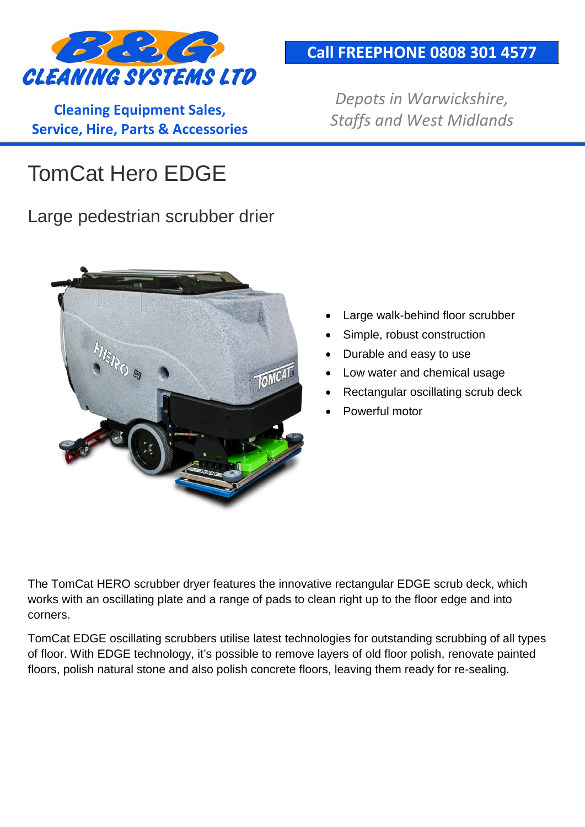

**Cleaning Equipment Sales, Service, Hire, Parts & Accessories**

#### **Call FREEPHONE 0808 301 4577**

*Depots in Warwickshire, Staffs and West Midlands*

# TomCat Hero EDGE

### Large pedestrian scrubber drier



- Large walk-behind floor scrubber
- Simple, robust construction
- Durable and easy to use
- Low water and chemical usage
- Rectangular oscillating scrub deck
- Powerful motor

The TomCat HERO scrubber dryer features the innovative rectangular EDGE scrub deck, which works with an oscillating plate and a range of pads to clean right up to the floor edge and into corners.

TomCat EDGE oscillating scrubbers utilise latest technologies for outstanding scrubbing of all types of floor. With EDGE technology, it's possible to remove layers of old floor polish, renovate painted floors, polish natural stone and also polish concrete floors, leaving them ready for re-sealing.